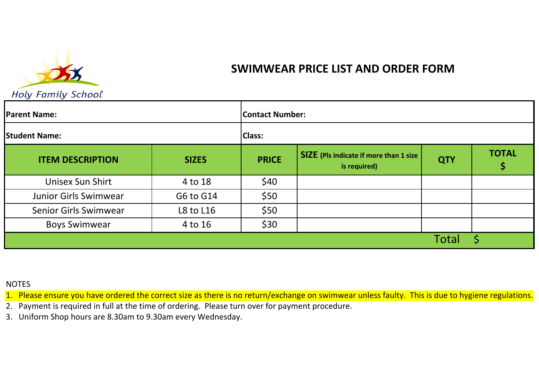

## SWIMWEAR PRICE LIST AND ORDER FORM

Holy Family School.

| <b>Parent Name:</b>          |              | <b>Contact Number:</b> |                                                               |            |              |
|------------------------------|--------------|------------------------|---------------------------------------------------------------|------------|--------------|
| <b>Student Name:</b>         |              | <b>Class:</b>          |                                                               |            |              |
| <b>ITEM DESCRIPTION</b>      | <b>SIZES</b> | <b>PRICE</b>           | <b>SIZE</b> (Pls indicate if more than 1 size<br>is required) | <b>QTY</b> | <b>TOTAL</b> |
| Unisex Sun Shirt             | 4 to 18      | \$40                   |                                                               |            |              |
| Junior Girls Swimwear        | G6 to G14    | \$50                   |                                                               |            |              |
| <b>Senior Girls Swimwear</b> | L8 to L16    | \$50                   |                                                               |            |              |
| <b>Boys Swimwear</b>         | 4 to 16      | \$30                   |                                                               |            |              |
|                              |              |                        |                                                               | Total      |              |

## NOTES

1. Please ensure you have ordered the correct size as there is no return/exchange on swimwear unless faulty. This is due to hygiene regulations.

2. Payment is required in full at the time of ordering. Please turn over for payment procedure.

3. Uniform Shop hours are 8.30am to 9.30am every Wednesday.